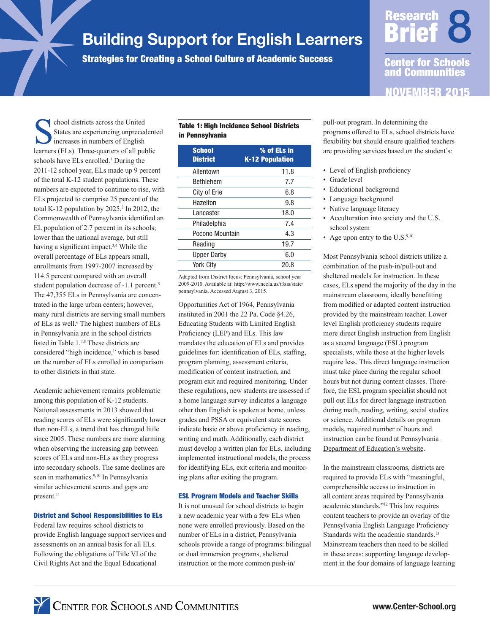# Building Support for English Learners

Strategies for Creating a School Culture of Academic Success

NOVEMBER 2015 Brief Center for Schools and Communities

**Research** 

chool districts across the United States are experiencing unprecedented increases in numbers of English learners (ELs). Three-quarters of all public schools have ELs enrolled.<sup>1</sup> During the 2011-12 school year, ELs made up 9 percent of the total K-12 student populations. These numbers are expected to continue to rise, with ELs projected to comprise 25 percent of the total K-12 population by 2025.<sup>2</sup> In 2012, the Commonwealth of Pennsylvania identified an EL population of 2.7 percent in its schools; lower than the national average, but still having a significant impact.3,4 While the overall percentage of ELs appears small, enrollments from 1997-2007 increased by 114.5 percent compared with an overall student population decrease of -1.1 percent.<sup>5</sup> The 47,355 ELs in Pennsylvania are concentrated in the large urban centers; however, many rural districts are serving small numbers of ELs as well.<sup>6</sup> The highest numbers of ELs in Pennsylvania are in the school districts listed in Table 1.7,8 These districts are considered "high incidence," which is based on the number of ELs enrolled in comparison to other districts in that state.

Academic achievement remains problematic among this population of K-12 students. National assessments in 2013 showed that reading scores of ELs were significantly lower than non-ELs, a trend that has changed little since 2005. These numbers are more alarming when observing the increasing gap between scores of ELs and non-ELs as they progress into secondary schools. The same declines are seen in mathematics.<sup>9,10</sup> In Pennsylvania similar achievement scores and gaps are present.<sup>11</sup>

#### District and School Responsibilities to ELs

Federal law requires school districts to provide English language support services and assessments on an annual basis for all ELs. Following the obligations of Title VI of the Civil Rights Act and the Equal Educational

### Table 1: High Incidence School Districts in Pennsylvania

| <b>School</b><br><b>District</b> | % of ELs in<br><b>K-12 Population</b> |
|----------------------------------|---------------------------------------|
| Allentown                        | 11.8                                  |
| <b>Bethlehem</b>                 | 7.7                                   |
| City of Erie                     | 6.8                                   |
| Hazelton                         | 9.8                                   |
| Lancaster                        | 18.0                                  |
| Philadelphia                     | 7.4                                   |
| Pocono Mountain                  | 4.3                                   |
| Reading                          | 19.7                                  |
| <b>Upper Darby</b>               | 6.0                                   |
| <b>York City</b>                 | 20.8                                  |

Adapted from District focus: Pennsylvania, school year 2009-2010. Available at: http://www.ncela.us/t3sis/state/ pennsylvania. Accessed August 3, 2015.

Opportunities Act of 1964, Pennsylvania instituted in 2001 the 22 Pa. Code §4.26, Educating Students with Limited English Proficiency (LEP) and ELs. This law mandates the education of ELs and provides guidelines for: identification of ELs, staffing, program planning, assessment criteria, modification of content instruction, and program exit and required monitoring. Under these regulations, new students are assessed if a home language survey indicates a language other than English is spoken at home, unless grades and PSSA or equivalent state scores indicate basic or above proficiency in reading, writing and math. Additionally, each district must develop a written plan for ELs, including implemented instructional models, the process for identifying ELs, exit criteria and monitoring plans after exiting the program.

#### ESL Program Models and Teacher Skills

It is not unusual for school districts to begin a new academic year with a few ELs when none were enrolled previously. Based on the number of ELs in a district, Pennsylvania schools provide a range of programs: bilingual or dual immersion programs, sheltered instruction or the more common push-in/

pull-out program. In determining the programs offered to ELs, school districts have flexibility but should ensure qualified teachers are providing services based on the student's:

- Level of English proficiency
- Grade level
- Educational background
- Language background
- Native language literacy
- Acculturation into society and the U.S. school system
- Age upon entry to the U.S. $9,10$

Most Pennsylvania school districts utilize a combination of the push-in/pull-out and sheltered models for instruction. In these cases, ELs spend the majority of the day in the mainstream classroom, ideally benefitting from modified or adapted content instruction provided by the mainstream teacher. Lower level English proficiency students require more direct English instruction from English as a second language (ESL) program specialists, while those at the higher levels require less. This direct language instruction must take place during the regular school hours but not during content classes. Therefore, the ESL program specialist should not pull out ELs for direct language instruction during math, reading, writing, social studies or science. Additional details on program models, required number of hours and instruction can be found at Pennsylvania Department of Education's website.

In the mainstream classrooms, districts are required to provide ELs with "meaningful, comprehensible access to instruction in all content areas required by Pennsylvania academic standards."12 This law requires content teachers to provide an overlay of the Pennsylvania English Language Proficiency Standards with the academic standards.<sup>13</sup> Mainstream teachers then need to be skilled in these areas: supporting language development in the four domains of language learning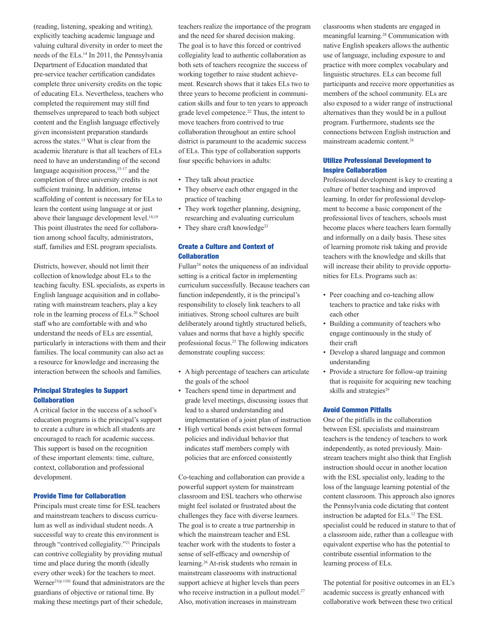(reading, listening, speaking and writing), explicitly teaching academic language and valuing cultural diversity in order to meet the needs of the ELs.14 In 2011, the Pennsylvania Department of Education mandated that pre-service teacher certification candidates complete three university credits on the topic of educating ELs. Nevertheless, teachers who completed the requirement may still find themselves unprepared to teach both subject content and the English language effectively given inconsistent preparation standards across the states.15 What is clear from the academic literature is that all teachers of ELs need to have an understanding of the second language acquisition process,<sup>15-17</sup> and the completion of three university credits is not sufficient training. In addition, intense scaffolding of content is necessary for ELs to learn the content using language at or just above their language development level.<sup>18,19</sup> This point illustrates the need for collaboration among school faculty, administrators, staff, families and ESL program specialists.

Districts, however, should not limit their collection of knowledge about ELs to the teaching faculty. ESL specialists, as experts in English language acquisition and in collaborating with mainstream teachers, play a key role in the learning process of ELs.20 School staff who are comfortable with and who understand the needs of ELs are essential, particularly in interactions with them and their families. The local community can also act as a resource for knowledge and increasing the interaction between the schools and families.

## Principal Strategies to Support Collaboration

A critical factor in the success of a school's education programs is the principal's support to create a culture in which all students are encouraged to reach for academic success. This support is based on the recognition of these important elements: time, culture, context, collaboration and professional development.

#### Provide Time for Collaboration

Principals must create time for ESL teachers and mainstream teachers to discuss curriculum as well as individual student needs. A successful way to create this environment is through "contrived collegiality."21 Principals can contrive collegiality by providing mutual time and place during the month (ideally every other week) for the teachers to meet. Werner<sup>21(p.110)</sup> found that administrators are the guardians of objective or rational time. By making these meetings part of their schedule,

teachers realize the importance of the program and the need for shared decision making. The goal is to have this forced or contrived collegiality lead to authentic collaboration as both sets of teachers recognize the success of working together to raise student achievement. Research shows that it takes ELs two to three years to become proficient in communication skills and four to ten years to approach grade level competence.<sup>22</sup> Thus, the intent to move teachers from contrived to true collaboration throughout an entire school district is paramount to the academic success of ELs. This type of collaboration supports four specific behaviors in adults:

- They talk about practice
- They observe each other engaged in the practice of teaching
- They work together planning, designing, researching and evaluating curriculum
- They share craft knowledge $23$

#### Create a Culture and Context of Collaboration

Fullan24 notes the uniqueness of an individual setting is a critical factor in implementing curriculum successfully. Because teachers can function independently, it is the principal's responsibility to closely link teachers to all initiatives. Strong school cultures are built deliberately around tightly structured beliefs, values and norms that have a highly specific professional focus.25 The following indicators demonstrate coupling success:

- A high percentage of teachers can articulate the goals of the school
- Teachers spend time in department and grade level meetings, discussing issues that lead to a shared understanding and implementation of a joint plan of instruction
- High vertical bonds exist between formal policies and individual behavior that indicates staff members comply with policies that are enforced consistently

Co-teaching and collaboration can provide a powerful support system for mainstream classroom and ESL teachers who otherwise might feel isolated or frustrated about the challenges they face with diverse learners. The goal is to create a true partnership in which the mainstream teacher and ESL teacher work with the students to foster a sense of self-efficacy and ownership of learning.26 At-risk students who remain in mainstream classrooms with instructional support achieve at higher levels than peers who receive instruction in a pullout model.<sup>27</sup> Also, motivation increases in mainstream

classrooms when students are engaged in meaningful learning.28 Communication with native English speakers allows the authentic use of language, including exposure to and practice with more complex vocabulary and linguistic structures. ELs can become full participants and receive more opportunities as members of the school community. ELs are also exposed to a wider range of instructional alternatives than they would be in a pullout program. Furthermore, students see the connections between English instruction and mainstream academic content.26

#### Utilize Professional Development to Inspire Collaboration

Professional development is key to creating a culture of better teaching and improved learning. In order for professional development to become a basic component of the professional lives of teachers, schools must become places where teachers learn formally and informally on a daily basis. These sites of learning promote risk taking and provide teachers with the knowledge and skills that will increase their ability to provide opportunities for ELs. Programs such as:

- Peer coaching and co-teaching allow teachers to practice and take risks with each other
- Building a community of teachers who engage continuously in the study of their craft
- Develop a shared language and common understanding
- Provide a structure for follow-up training that is requisite for acquiring new teaching skills and strategies<sup>29</sup>

#### Avoid Common Pitfalls

One of the pitfalls in the collaboration between ESL specialists and mainstream teachers is the tendency of teachers to work independently, as noted previously. Mainstream teachers might also think that English instruction should occur in another location with the ESL specialist only, leading to the loss of the language learning potential of the content classroom. This approach also ignores the Pennsylvania code dictating that content instruction be adapted for ELs.12 The ESL specialist could be reduced in stature to that of a classroom aide, rather than a colleague with equivalent expertise who has the potential to contribute essential information to the learning process of ELs.

The potential for positive outcomes in an EL's academic success is greatly enhanced with collaborative work between these two critical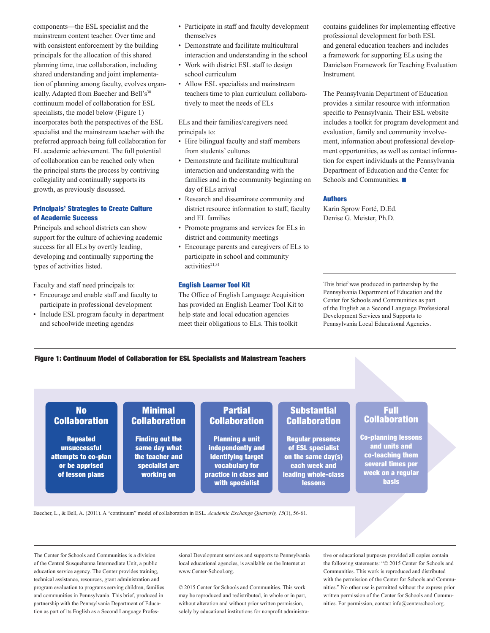components—the ESL specialist and the mainstream content teacher. Over time and with consistent enforcement by the building principals for the allocation of this shared planning time, true collaboration, including shared understanding and joint implementation of planning among faculty, evolves organically. Adapted from Baecher and Bell's<sup>30</sup> continuum model of collaboration for ESL specialists, the model below (Figure 1) incorporates both the perspectives of the ESL specialist and the mainstream teacher with the preferred approach being full collaboration for EL academic achievement. The full potential of collaboration can be reached only when the principal starts the process by contriving collegiality and continually supports its growth, as previously discussed.

#### Principals' Strategies to Create Culture of Academic Success

Principals and school districts can show support for the culture of achieving academic success for all ELs by overtly leading, developing and continually supporting the types of activities listed.

Faculty and staff need principals to:

- Encourage and enable staff and faculty to participate in professional development
- Include ESL program faculty in department and schoolwide meeting agendas
- Participate in staff and faculty development themselves
- Demonstrate and facilitate multicultural interaction and understanding in the school
- Work with district ESL staff to design school curriculum
- Allow ESL specialists and mainstream teachers time to plan curriculum collaboratively to meet the needs of ELs

ELs and their families/caregivers need principals to:

- Hire bilingual faculty and staff members from students' cultures
- Demonstrate and facilitate multicultural interaction and understanding with the families and in the community beginning on day of ELs arrival
- Research and disseminate community and district resource information to staff, faculty and EL families
- Promote programs and services for ELs in district and community meetings
- Encourage parents and caregivers of ELs to participate in school and community activities<sup>21,31</sup>

#### English Learner Tool Kit

The Office of English Language Acquisition has provided an English Learner Tool Kit to help state and local education agencies meet their obligations to ELs. This toolkit

contains guidelines for implementing effective professional development for both ESL and general education teachers and includes a framework for supporting ELs using the Danielson Framework for Teaching Evaluation Instrument.

The Pennsylvania Department of Education provides a similar resource with information specific to Pennsylvania. Their ESL website includes a toolkit for program development and evaluation, family and community involvement, information about professional development opportunities, as well as contact information for expert individuals at the Pennsylvania Department of Education and the Center for Schools and Communities.

#### Authors

Karin Sprow Forté, D.Ed. Denise G. Meister, Ph.D.

This brief was produced in partnership by the Pennsylvania Department of Education and the Center for Schools and Communities as part of the English as a Second Language Professional Development Services and Supports to Pennsylvania Local Educational Agencies.

Figure 1: Continuum Model of Collaboration for ESL Specialists and Mainstream Teachers

Minimal **Collaboration** 

Finding out the same day what the teacher and specialist are working on

## No **Collaboration**

Repeated unsuccessful attempts to co-plan or be apprised of lesson plans

# **Partial Collaboration**

Planning a unit independently and identifying target vocabulary for practice in class and with specialist

## **Substantial Collaboration**

Regular presence of ESL specialist on the same day(s) each week and leading whole-class lessons

## Full **Collaboration**

Co-planning lessons and units and co-teaching them several times per week on a regular basis

Baecher, L., & Bell, A. (2011). A "continuum" model of collaboration in ESL. *Academic Exchange Quarterly, 15*(1), 56-61.

The Center for Schools and Communities is a division of the Central Susquehanna Intermediate Unit, a public education service agency. The Center provides training, technical assistance, resources, grant administration and program evaluation to programs serving children, families and communities in Pennsylvania. This brief, produced in partnership with the Pennsylvania Department of Education as part of its English as a Second Language Professional Development services and supports to Pennsylvania local educational agencies, is available on the Internet at www.Center-School.org.

© 2015 Center for Schools and Communities. This work may be reproduced and redistributed, in whole or in part, without alteration and without prior written permission, solely by educational institutions for nonprofit administrative or educational purposes provided all copies contain the following statements: "© 2015 Center for Schools and Communities. This work is reproduced and distributed with the permission of the Center for Schools and Communities." No other use is permitted without the express prior written permission of the Center for Schools and Communities. For permission, contact info@centerschool.org.